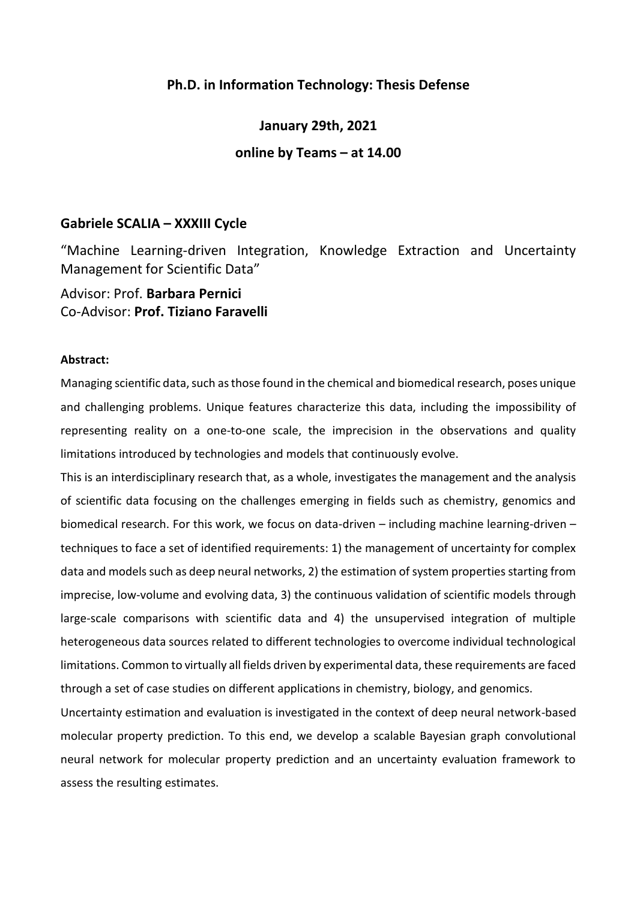## **Ph.D. in Information Technology: Thesis Defense**

**January 29th, 2021 online by Teams – at 14.00**

## **Gabriele SCALIA – XXXIII Cycle**

"Machine Learning-driven Integration, Knowledge Extraction and Uncertainty Management for Scientific Data"

Advisor: Prof. **Barbara Pernici** Co-Advisor: **Prof. Tiziano Faravelli**

## **Abstract:**

Managing scientific data, such as those found in the chemical and biomedical research, poses unique and challenging problems. Unique features characterize this data, including the impossibility of representing reality on a one-to-one scale, the imprecision in the observations and quality limitations introduced by technologies and models that continuously evolve.

This is an interdisciplinary research that, as a whole, investigates the management and the analysis of scientific data focusing on the challenges emerging in fields such as chemistry, genomics and biomedical research. For this work, we focus on data-driven – including machine learning-driven – techniques to face a set of identified requirements: 1) the management of uncertainty for complex data and models such as deep neural networks, 2) the estimation of system properties starting from imprecise, low-volume and evolving data, 3) the continuous validation of scientific models through large-scale comparisons with scientific data and 4) the unsupervised integration of multiple heterogeneous data sources related to different technologies to overcome individual technological limitations. Common to virtually all fields driven by experimental data, these requirements are faced through a set of case studies on different applications in chemistry, biology, and genomics.

Uncertainty estimation and evaluation is investigated in the context of deep neural network-based molecular property prediction. To this end, we develop a scalable Bayesian graph convolutional neural network for molecular property prediction and an uncertainty evaluation framework to assess the resulting estimates.